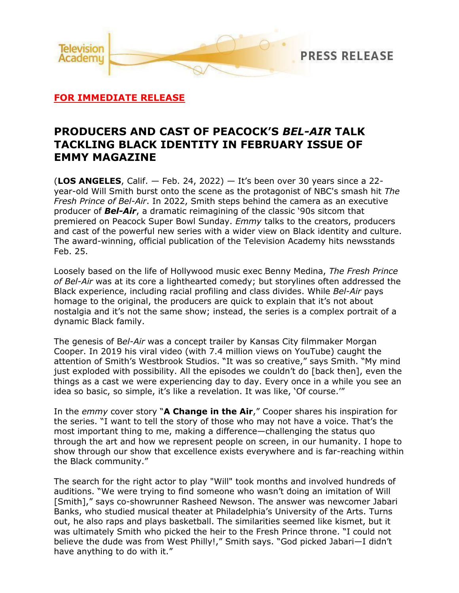

# **FOR IMMEDIATE RELEASE**

# **PRODUCERS AND CAST OF PEACOCK'S** *BEL-AIR* **TALK TACKLING BLACK IDENTITY IN FEBRUARY ISSUE OF EMMY MAGAZINE**

(**LOS ANGELES**, Calif. — Feb. 24, 2022) — It's been over 30 years since a 22 year-old Will Smith burst onto the scene as the protagonist of NBC's smash hit *The Fresh Prince of Bel-Air*. In 2022, Smith steps behind the camera as an executive producer of *Bel-Air*, a dramatic reimagining of the classic '90s sitcom that premiered on Peacock Super Bowl Sunday. *Emmy* talks to the creators, producers and cast of the powerful new series with a wider view on Black identity and culture. The award-winning, official publication of the Television Academy hits newsstands Feb. 25.

Loosely based on the life of Hollywood music exec Benny Medina, *The Fresh Prince of Bel-Air* was at its core a lighthearted comedy; but storylines often addressed the Black experience, including racial profiling and class divides. While *Bel-Air* pays homage to the original, the producers are quick to explain that it's not about nostalgia and it's not the same show; instead, the series is a complex portrait of a dynamic Black family.

The genesis of B*el-Air* was a concept trailer by Kansas City filmmaker Morgan Cooper. In 2019 his viral video (with 7.4 million views on YouTube) caught the attention of Smith's Westbrook Studios. "It was so creative," says Smith. "My mind just exploded with possibility. All the episodes we couldn't do [back then], even the things as a cast we were experiencing day to day. Every once in a while you see an idea so basic, so simple, it's like a revelation. It was like, 'Of course.'"

In the *emmy* cover story "**A Change in the Air**," Cooper shares his inspiration for the series. "I want to tell the story of those who may not have a voice. That's the most important thing to me, making a difference—challenging the status quo through the art and how we represent people on screen, in our humanity. I hope to show through our show that excellence exists everywhere and is far-reaching within the Black community."

The search for the right actor to play "Will" took months and involved hundreds of auditions. "We were trying to find someone who wasn't doing an imitation of Will [Smith]," says co-showrunner Rasheed Newson. The answer was newcomer Jabari Banks, who studied musical theater at Philadelphia's University of the Arts. Turns out, he also raps and plays basketball. The similarities seemed like kismet, but it was ultimately Smith who picked the heir to the Fresh Prince throne. "I could not believe the dude was from West Philly!," Smith says. "God picked Jabari—I didn't have anything to do with it."